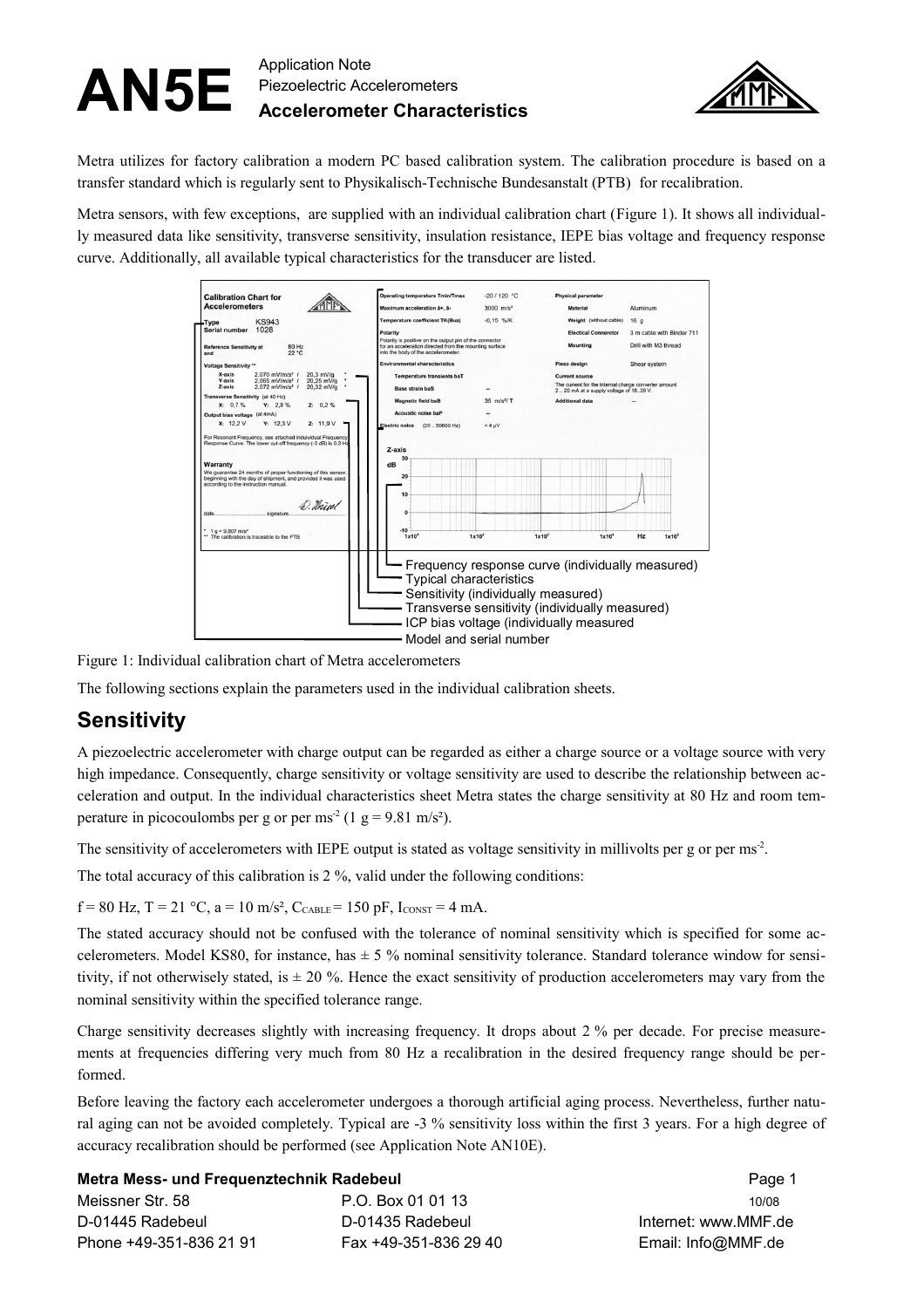

Metra utilizes for factory calibration a modern PC based calibration system. The calibration procedure is based on a transfer standard which is regularly sent to Physikalisch-Technische Bundesanstalt (PTB) for recalibration.

Metra sensors, with few exceptions, are supplied with an individual calibration chart [\(Figure 1\)](#page-0-0). It shows all individually measured data like sensitivity, transverse sensitivity, insulation resistance, IEPE bias voltage and frequency response curve. Additionally, all available typical characteristics for the transducer are listed.



<span id="page-0-0"></span>Figure 1: Individual calibration chart of Metra accelerometers

The following sections explain the parameters used in the individual calibration sheets.

### **Sensitivity**

A piezoelectric accelerometer with charge output can be regarded as either a charge source or a voltage source with very high impedance. Consequently, charge sensitivity or voltage sensitivity are used to describe the relationship between acceleration and output. In the individual characteristics sheet Metra states the charge sensitivity at 80 Hz and room temperature in picocoulombs per g or per ms<sup>-2</sup> (1 g = 9.81 m/s<sup>2</sup>).

The sensitivity of accelerometers with IEPE output is stated as voltage sensitivity in millivolts per g or per ms<sup>2</sup>.

The total accuracy of this calibration is 2 %, valid under the following conditions:

 $f = 80$  Hz,  $T = 21$  °C,  $a = 10$  m/s<sup>2</sup>,  $C_{CABLE} = 150$  pF,  $I_{CONST} = 4$  mA.

The stated accuracy should not be confused with the tolerance of nominal sensitivity which is specified for some accelerometers. Model KS80, for instance, has  $\pm$  5 % nominal sensitivity tolerance. Standard tolerance window for sensitivity, if not otherwisely stated, is  $\pm 20\%$ . Hence the exact sensitivity of production accelerometers may vary from the nominal sensitivity within the specified tolerance range.

Charge sensitivity decreases slightly with increasing frequency. It drops about 2 % per decade. For precise measurements at frequencies differing very much from 80 Hz a recalibration in the desired frequency range should be performed.

Before leaving the factory each accelerometer undergoes a thorough artificial aging process. Nevertheless, further natural aging can not be avoided completely. Typical are -3 % sensitivity loss within the first 3 years. For a high degree of accuracy recalibration should be performed (see Application Note AN10E).

#### **Metra Mess- und Frequenztechnik Radebeul** Page 1

| Meissner Str. 58        | P.O. Box 01 01 13     | 10/08              |
|-------------------------|-----------------------|--------------------|
| D-01445 Radebeul        | D-01435 Radebeul      | lnternet: www.MMF. |
| Phone +49-351-836 21 91 | Fax +49-351-836 29 40 | Email: Info@MMF.de |

Internet: www.MMF.de Phone +49-351-836 Email: Info@MMF.de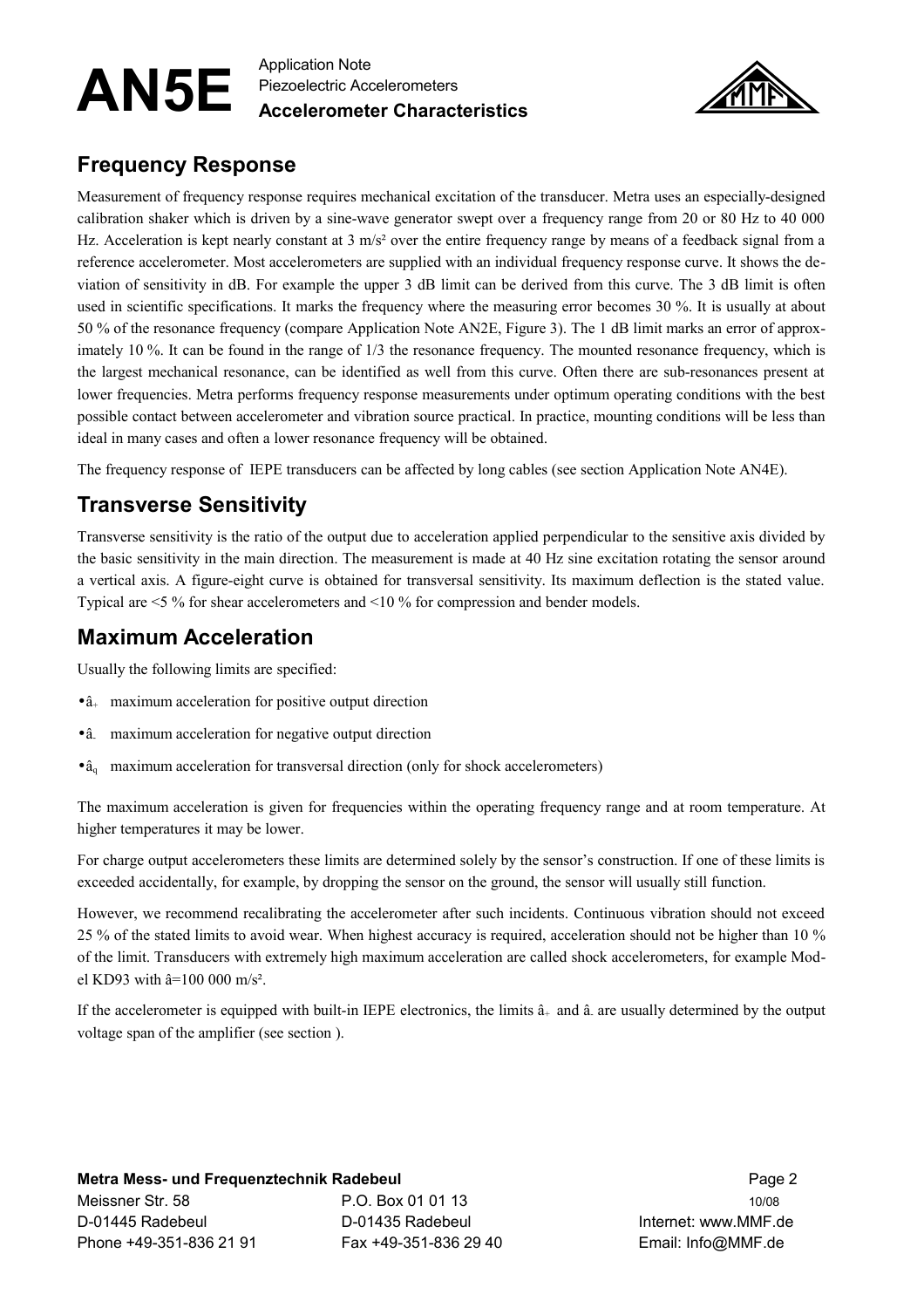

### **Frequency Response**

Measurement of frequency response requires mechanical excitation of the transducer. Metra uses an especially-designed calibration shaker which is driven by a sine-wave generator swept over a frequency range from 20 or 80 Hz to 40 000 Hz. Acceleration is kept nearly constant at 3 m/s<sup>2</sup> over the entire frequency range by means of a feedback signal from a reference accelerometer. Most accelerometers are supplied with an individual frequency response curve. It shows the deviation of sensitivity in dB. For example the upper 3 dB limit can be derived from this curve. The 3 dB limit is often used in scientific specifications. It marks the frequency where the measuring error becomes 30 %. It is usually at about 50 % of the resonance frequency (compare Application Note AN2E, Figure 3). The 1 dB limit marks an error of approximately 10 %. It can be found in the range of 1/3 the resonance frequency. The mounted resonance frequency, which is the largest mechanical resonance, can be identified as well from this curve. Often there are sub-resonances present at lower frequencies. Metra performs frequency response measurements under optimum operating conditions with the best possible contact between accelerometer and vibration source practical. In practice, mounting conditions will be less than ideal in many cases and often a lower resonance frequency will be obtained.

The frequency response of IEPE transducers can be affected by long cables (see section Application Note AN4E).

## **Transverse Sensitivity**

Transverse sensitivity is the ratio of the output due to acceleration applied perpendicular to the sensitive axis divided by the basic sensitivity in the main direction. The measurement is made at 40 Hz sine excitation rotating the sensor around a vertical axis. A figure-eight curve is obtained for transversal sensitivity. Its maximum deflection is the stated value. Typical are <5 % for shear accelerometers and <10 % for compression and bender models.

## **Maximum Acceleration**

Usually the following limits are specified:

- $\bullet$   $\hat{a}_{+}$  maximum acceleration for positive output direction
- â. maximum acceleration for negative output direction
- $\hat{a}_q$  maximum acceleration for transversal direction (only for shock accelerometers)

The maximum acceleration is given for frequencies within the operating frequency range and at room temperature. At higher temperatures it may be lower.

For charge output accelerometers these limits are determined solely by the sensor's construction. If one of these limits is exceeded accidentally, for example, by dropping the sensor on the ground, the sensor will usually still function.

However, we recommend recalibrating the accelerometer after such incidents. Continuous vibration should not exceed 25 % of the stated limits to avoid wear. When highest accuracy is required, acceleration should not be higher than 10 % of the limit. Transducers with extremely high maximum acceleration are called shock accelerometers, for example Model KD93 with  $\hat{a}$ =100 000 m/s<sup>2</sup>.

If the accelerometer is equipped with built-in IEPE electronics, the limits  $\hat{a}_+$  and  $\hat{a}_-$  are usually determined by the output voltage span of the amplifier (see section [\)](#page-1-0).

**Metra Mess- und Frequenztechnik Radebeul Page 2 auch 2 auch 2 auch 2 auch 2 auch 2 auch 2 auch 2 auch 2 auch 2** Meissner Str. 58 P.O. Box 01 01 13 P.O. Box 01 01 13 D-01445 Radebeul D-01435 Radebeul Internet: www.MMF.de Phone +49-351-836 21 91 Fax +49-351-836 29 40 Email: Info@MMF.de

<span id="page-1-0"></span>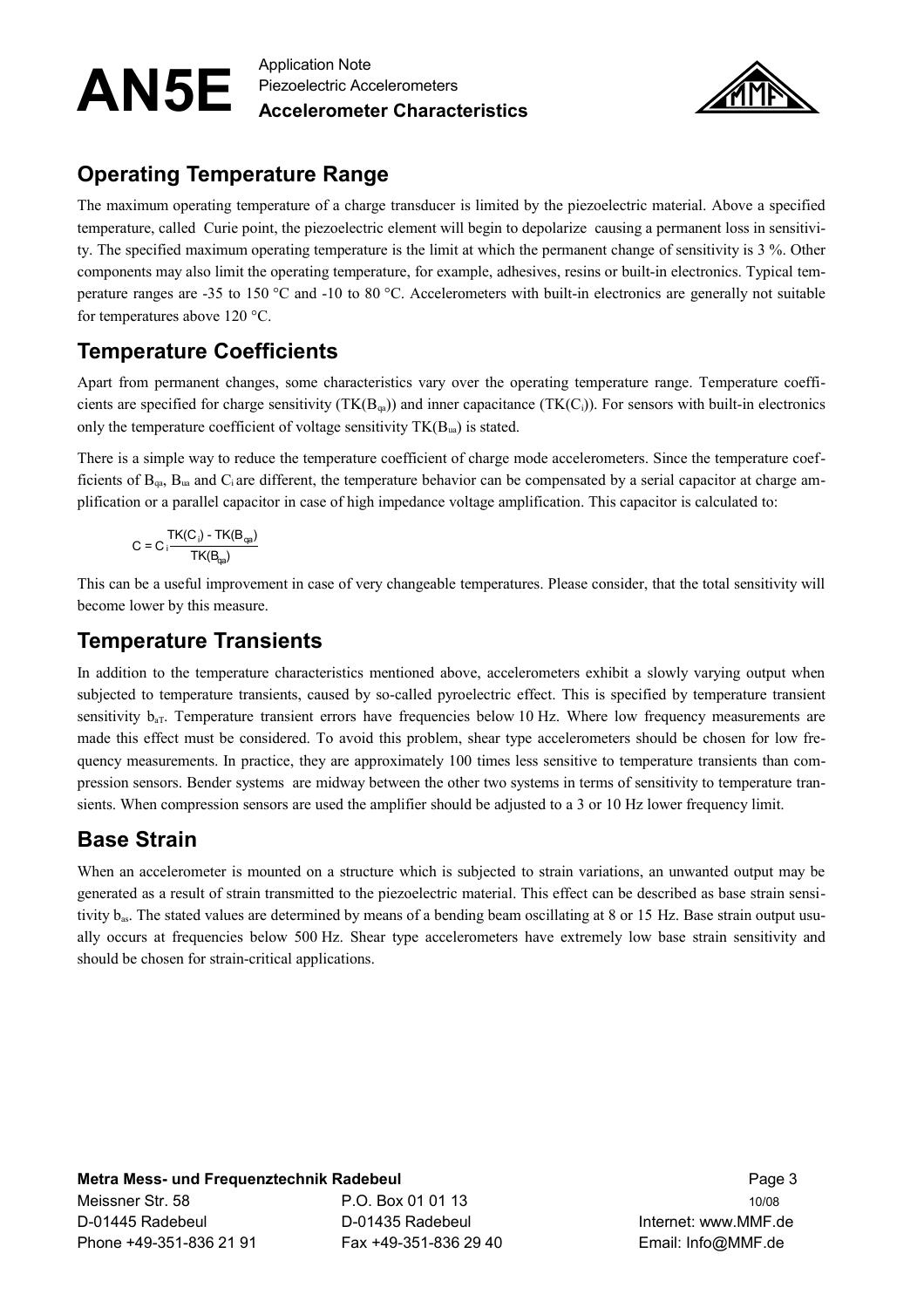

# **Operating Temperature Range**

The maximum operating temperature of a charge transducer is limited by the piezoelectric material. Above a specified temperature, called Curie point, the piezoelectric element will begin to depolarize causing a permanent loss in sensitivity. The specified maximum operating temperature is the limit at which the permanent change of sensitivity is 3 %. Other components may also limit the operating temperature, for example, adhesives, resins or built-in electronics. Typical temperature ranges are -35 to 150 °C and -10 to 80 °C. Accelerometers with built-in electronics are generally not suitable for temperatures above 120 °C.

# **Temperature Coefficients**

Apart from permanent changes, some characteristics vary over the operating temperature range. Temperature coefficients are specified for charge sensitivity  $(TK(B_{qa}))$  and inner capacitance  $(TK(C_i))$ . For sensors with built-in electronics only the temperature coefficient of voltage sensitivity  $TK(B<sub>ua</sub>)$  is stated.

There is a simple way to reduce the temperature coefficient of charge mode accelerometers. Since the temperature coefficients of  $B_{qa}$ ,  $B_{ua}$  and  $C_i$  are different, the temperature behavior can be compensated by a serial capacitor at charge amplification or a parallel capacitor in case of high impedance voltage amplification. This capacitor is calculated to:

$$
C = C \cdot \frac{TK(C_i) - TK(B_{qa})}{TK(B_{qa})}
$$

This can be a useful improvement in case of very changeable temperatures. Please consider, that the total sensitivity will become lower by this measure.

### **Temperature Transients**

In addition to the temperature characteristics mentioned above, accelerometers exhibit a slowly varying output when subjected to temperature transients, caused by so-called pyroelectric effect. This is specified by temperature transient sensitivity  $b_{aT}$ . Temperature transient errors have frequencies below 10 Hz. Where low frequency measurements are made this effect must be considered. To avoid this problem, shear type accelerometers should be chosen for low frequency measurements. In practice, they are approximately 100 times less sensitive to temperature transients than compression sensors. Bender systems are midway between the other two systems in terms of sensitivity to temperature transients. When compression sensors are used the amplifier should be adjusted to a 3 or 10 Hz lower frequency limit.

### **Base Strain**

When an accelerometer is mounted on a structure which is subjected to strain variations, an unwanted output may be generated as a result of strain transmitted to the piezoelectric material. This effect can be described as base strain sensitivity bas. The stated values are determined by means of a bending beam oscillating at 8 or 15 Hz. Base strain output usually occurs at frequencies below 500 Hz. Shear type accelerometers have extremely low base strain sensitivity and should be chosen for strain-critical applications.

**Metra Mess- und Frequenztechnik Radebeul Page 3 auch 2009 1999 1999 3 auch 2009 1999 3** Meissner Str. 58 P.O. Box 01 01 13 10/08 D-01445 Radebeul D-01435 Radebeul Internet: www.MMF.de Phone +49-351-836 21 91 Fax +49-351-836 29 40 Email: Info@MMF.de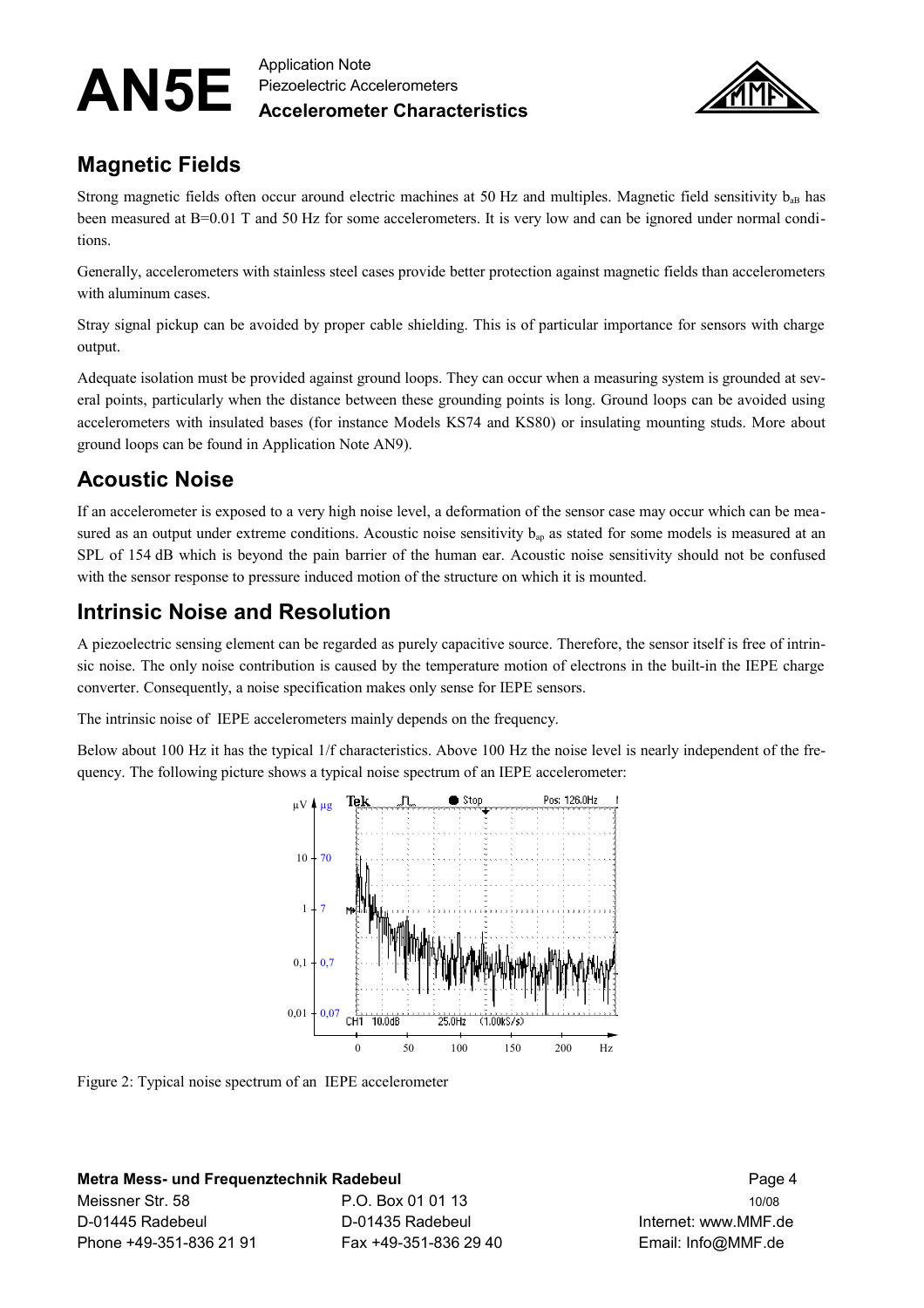

### **Magnetic Fields**

Strong magnetic fields often occur around electric machines at 50 Hz and multiples. Magnetic field sensitivity  $b_{ab}$  has been measured at B=0.01 T and 50 Hz for some accelerometers. It is very low and can be ignored under normal conditions.

Generally, accelerometers with stainless steel cases provide better protection against magnetic fields than accelerometers with aluminum cases.

Stray signal pickup can be avoided by proper cable shielding. This is of particular importance for sensors with charge output.

Adequate isolation must be provided against ground loops. They can occur when a measuring system is grounded at several points, particularly when the distance between these grounding points is long. Ground loops can be avoided using accelerometers with insulated bases (for instance Models KS74 and KS80) or insulating mounting studs. More about ground loops can be found in Application Note AN9).

## **Acoustic Noise**

If an accelerometer is exposed to a very high noise level, a deformation of the sensor case may occur which can be measured as an output under extreme conditions. Acoustic noise sensitivity  $b_{ap}$  as stated for some models is measured at an SPL of 154 dB which is beyond the pain barrier of the human ear. Acoustic noise sensitivity should not be confused with the sensor response to pressure induced motion of the structure on which it is mounted.

## **Intrinsic Noise and Resolution**

A piezoelectric sensing element can be regarded as purely capacitive source. Therefore, the sensor itself is free of intrinsic noise. The only noise contribution is caused by the temperature motion of electrons in the built-in the IEPE charge converter. Consequently, a noise specification makes only sense for IEPE sensors.

The intrinsic noise of IEPE accelerometers mainly depends on the frequency.

Below about 100 Hz it has the typical 1/f characteristics. Above 100 Hz the noise level is nearly independent of the frequency. The following picture shows a typical noise spectrum of an IEPE accelerometer:



Figure 2: Typical noise spectrum of an IEPE accelerometer

#### **Metra Mess- und Frequenztechnik Radebeul** Page 4

Meissner Str. 58 **P.O. Box 01 01 13 P.O. Box 01 01 13** 10/08 D-01445 Radebeul D-01435 Radebeul Internet: www.MMF.de Phone +49-351-836 21 91 Fax +49-351-836 29 40 Email: Info@MMF.de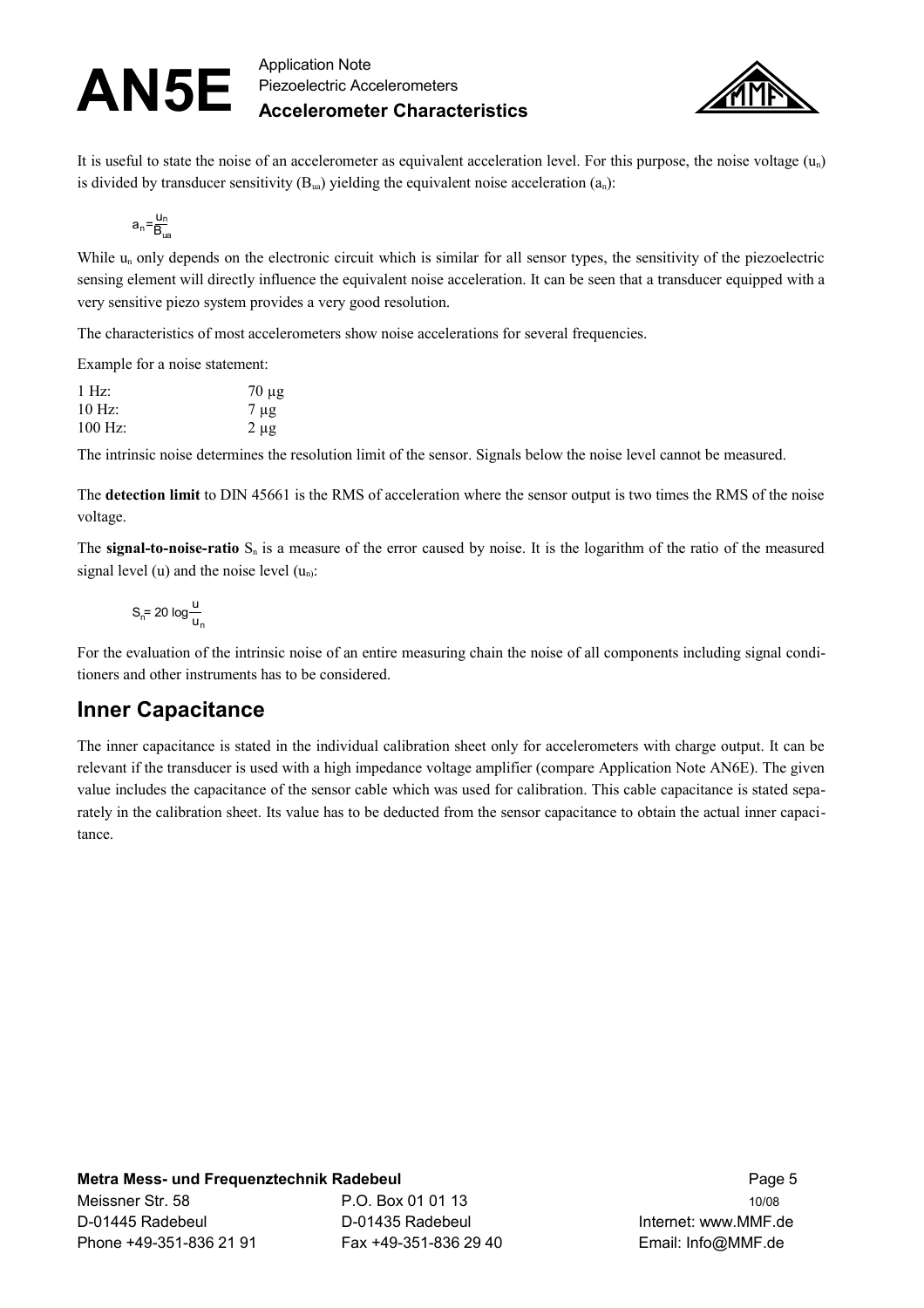

It is useful to state the noise of an accelerometer as equivalent acceleration level. For this purpose, the noise voltage  $(u_n)$ is divided by transducer sensitivity  $(B<sub>ua</sub>)$  yielding the equivalent noise acceleration  $(a<sub>n</sub>)$ :

$$
a_n = \frac{u_n}{B_{ua}}
$$

While  $u_n$  only depends on the electronic circuit which is similar for all sensor types, the sensitivity of the piezoelectric sensing element will directly influence the equivalent noise acceleration. It can be seen that a transducer equipped with a very sensitive piezo system provides a very good resolution.

The characteristics of most accelerometers show noise accelerations for several frequencies.

Example for a noise statement:

| 1 Hz      | $70 \mu g$ |
|-----------|------------|
| $10$ Hz:  | $7 \mu$ g  |
| $100$ Hz: | $2 \mu g$  |

The intrinsic noise determines the resolution limit of the sensor. Signals below the noise level cannot be measured.

The **detection limit** to DIN 45661 is the RMS of acceleration where the sensor output is two times the RMS of the noise voltage.

The **signal-to-noise-ratio**  $S_n$  is a measure of the error caused by noise. It is the logarithm of the ratio of the measured signal level (u) and the noise level  $(u_n)$ :

$$
S_n = 20 \log \frac{u}{u_n}
$$

For the evaluation of the intrinsic noise of an entire measuring chain the noise of all components including signal conditioners and other instruments has to be considered.

### **Inner Capacitance**

The inner capacitance is stated in the individual calibration sheet only for accelerometers with charge output. It can be relevant if the transducer is used with a high impedance voltage amplifier (compare Application Note AN6E). The given value includes the capacitance of the sensor cable which was used for calibration. This cable capacitance is stated separately in the calibration sheet. Its value has to be deducted from the sensor capacitance to obtain the actual inner capacitance.

#### **Metra Mess- und Frequenztechnik Radebeul** Page 5

Meissner Str. 58 P.O. Box 01 01 13 10/08 D-01445 Radebeul D-01435 Radebeul Internet: www.MMF.de Phone +49-351-836 21 91 Fax +49-351-836 29 40 Email: Info@MMF.de